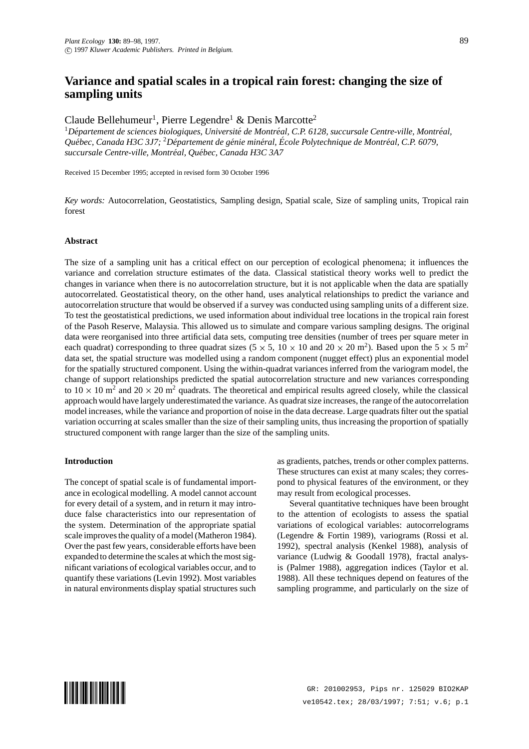# **Variance and spatial scales in a tropical rain forest: changing the size of sampling units**

Claude Bellehumeur<sup>1</sup>, Pierre Legendre<sup>1</sup> & Denis Marcotte<sup>2</sup>

<sup>1</sup>Département de sciences biologiques, Université de Montréal, C.P. 6128, succursale Centre-ville, Montréal, *Quebec, Canada H3C 3J7; ´* <sup>2</sup>*Departement de g ´ enie min ´ eral, ´ Ecole Polytechnique de Montr ´ eal, C.P. 6079, ´ succursale Centre-ville, Montreal, Qu ´ ebec, Canada H3C 3A7 ´*

Received 15 December 1995; accepted in revised form 30 October 1996

*Key words:* Autocorrelation, Geostatistics, Sampling design, Spatial scale, Size of sampling units, Tropical rain forest

#### **Abstract**

The size of a sampling unit has a critical effect on our perception of ecological phenomena; it influences the variance and correlation structure estimates of the data. Classical statistical theory works well to predict the changes in variance when there is no autocorrelation structure, but it is not applicable when the data are spatially autocorrelated. Geostatistical theory, on the other hand, uses analytical relationships to predict the variance and autocorrelation structure that would be observed if a survey was conducted using sampling units of a different size. To test the geostatistical predictions, we used information about individual tree locations in the tropical rain forest of the Pasoh Reserve, Malaysia. This allowed us to simulate and compare various sampling designs. The original data were reorganised into three artificial data sets, computing tree densities (number of trees per square meter in each quadrat) corresponding to three quadrat sizes (5  $\times$  5, 10  $\times$  10 and 20  $\times$  20 m<sup>2</sup>). Based upon the 5  $\times$  5 m<sup>2</sup> data set, the spatial structure was modelled using a random component (nugget effect) plus an exponential model for the spatially structured component. Using the within-quadrat variances inferred from the variogram model, the change of support relationships predicted the spatial autocorrelation structure and new variances corresponding to  $10 \times 10$  m<sup>2</sup> and  $20 \times 20$  m<sup>2</sup> quadrats. The theoretical and empirical results agreed closely, while the classical approach would have largely underestimated the variance. As quadrat size increases, the range of the autocorrelation model increases, while the variance and proportion of noise in the data decrease. Large quadrats filter out the spatial variation occurring at scales smaller than the size of their sampling units, thus increasing the proportion of spatially structured component with range larger than the size of the sampling units.

### **Introduction**

The concept of spatial scale is of fundamental importance in ecological modelling. A model cannot account for every detail of a system, and in return it may introduce false characteristics into our representation of the system. Determination of the appropriate spatial scale improves the quality of a model (Matheron 1984). Over the past few years, considerable efforts have been expanded to determine the scales at which the most significant variations of ecological variables occur, and to quantify these variations (Levin 1992). Most variables in natural environments display spatial structures such

as gradients, patches, trends or other complex patterns. These structures can exist at many scales; they correspond to physical features of the environment, or they may result from ecological processes.

Several quantitative techniques have been brought to the attention of ecologists to assess the spatial variations of ecological variables: autocorrelograms (Legendre & Fortin 1989), variograms (Rossi et al. 1992), spectral analysis (Kenkel 1988), analysis of variance (Ludwig & Goodall 1978), fractal analysis (Palmer 1988), aggregation indices (Taylor et al. 1988). All these techniques depend on features of the sampling programme, and particularly on the size of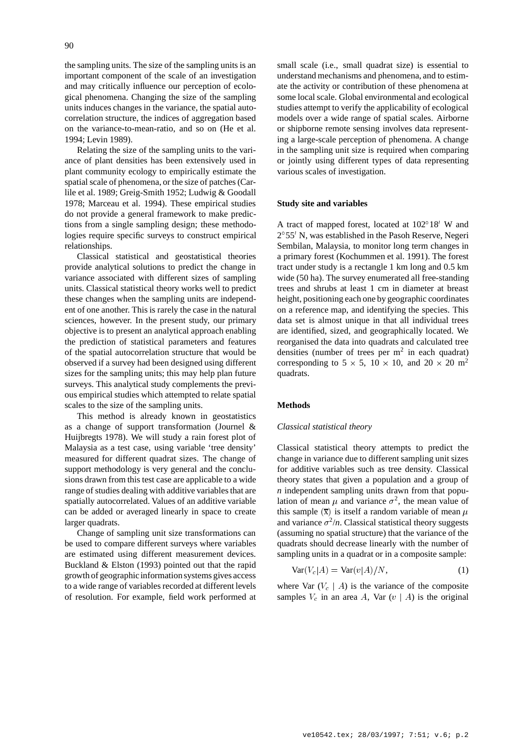the sampling units. The size of the sampling units is an important component of the scale of an investigation and may critically influence our perception of ecological phenomena. Changing the size of the sampling units induces changes in the variance, the spatial autocorrelation structure, the indices of aggregation based on the variance-to-mean-ratio, and so on (He et al. 1994; Levin 1989).

Relating the size of the sampling units to the variance of plant densities has been extensively used in plant community ecology to empirically estimate the spatial scale of phenomena, or the size of patches (Carlile et al. 1989; Greig-Smith 1952; Ludwig & Goodall 1978; Marceau et al. 1994). These empirical studies do not provide a general framework to make predictions from a single sampling design; these methodologies require specific surveys to construct empirical relationships.

Classical statistical and geostatistical theories provide analytical solutions to predict the change in variance associated with different sizes of sampling units. Classical statistical theory works well to predict these changes when the sampling units are independent of one another. This is rarely the case in the natural sciences, however. In the present study, our primary objective is to present an analytical approach enabling the prediction of statistical parameters and features of the spatial autocorrelation structure that would be observed if a survey had been designed using different sizes for the sampling units; this may help plan future surveys. This analytical study complements the previous empirical studies which attempted to relate spatial scales to the size of the sampling units.

This method is already known in geostatistics as a change of support transformation (Journel & Huijbregts 1978). We will study a rain forest plot of Malaysia as a test case, using variable 'tree density' measured for different quadrat sizes. The change of support methodology is very general and the conclusions drawn from this test case are applicable to a wide range of studies dealing with additive variables that are spatially autocorrelated. Values of an additive variable can be added or averaged linearly in space to create larger quadrats.

Change of sampling unit size transformations can be used to compare different surveys where variables are estimated using different measurement devices. Buckland & Elston (1993) pointed out that the rapid growth of geographicinformation systems gives access to a wide range of variables recorded at different levels of resolution. For example, field work performed at small scale (i.e., small quadrat size) is essential to understand mechanisms and phenomena, and to estimate the activity or contribution of these phenomena at some local scale. Global environmental and ecological studies attempt to verify the applicability of ecological models over a wide range of spatial scales. Airborne or shipborne remote sensing involves data representing a large-scale perception of phenomena. A change in the sampling unit size is required when comparing or jointly using different types of data representing various scales of investigation.

#### **Study site and variables**

A tract of mapped forest, located at  $102^{\circ}18'$  W and 2°55' N, was established in the Pasoh Reserve, Negeri Sembilan, Malaysia, to monitor long term changes in a primary forest (Kochummen et al. 1991). The forest tract under study is a rectangle 1 km long and 0.5 km wide (50 ha). The survey enumerated all free-standing trees and shrubs at least 1 cm in diameter at breast height, positioning each one by geographic coordinates on a reference map, and identifying the species. This data set is almost unique in that all individual trees are identified, sized, and geographically located. We reorganised the data into quadrats and calculated tree densities (number of trees per  $m<sup>2</sup>$  in each quadrat) corresponding to  $5 \times 5$ ,  $10 \times 10$ , and  $20 \times 20$  m<sup>2</sup> quadrats.

## **Methods**

#### *Classical statistical theory*

Classical statistical theory attempts to predict the change in variance due to different sampling unit sizes for additive variables such as tree density. Classical theory states that given a population and a group of *n* independent sampling units drawn from that population of mean  $\mu$  and variance  $\sigma^2$ , the mean value of this sample  $(\overline{x})$  is itself a random variable of mean  $\mu$ and variance  $\sigma^2/n$ . Classical statistical theory suggests (assuming no spatial structure) that the variance of the quadrats should decrease linearly with the number of sampling units in a quadrat or in a composite sample:

$$
\text{Var}(V_c|A) = \text{Var}(v|A)/N,\tag{1}
$$

where Var  $(V_c \mid A)$  is the variance of the composite samples  $V_c$  in an area A, Var  $(v | A)$  is the original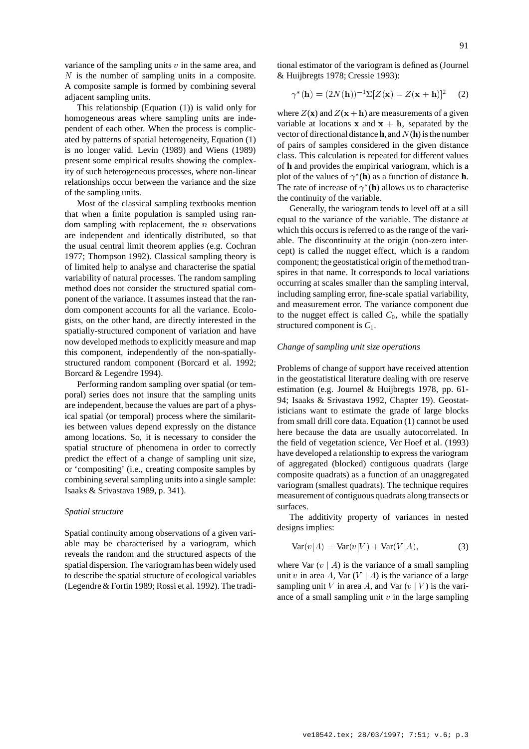variance of the sampling units  $v$  in the same area, and N is the number of sampling units in a composite. A composite sample is formed by combining several adjacent sampling units.

This relationship (Equation (1)) is valid only for homogeneous areas where sampling units are independent of each other. When the process is complicated by patterns of spatial heterogeneity, Equation (1) is no longer valid. Levin (1989) and Wiens (1989) present some empirical results showing the complexity of such heterogeneous processes, where non-linear relationships occur between the variance and the size of the sampling units.

Most of the classical sampling textbooks mention that when a finite population is sampled using random sampling with replacement, the  $n$  observations are independent and identically distributed, so that the usual central limit theorem applies (e.g. Cochran 1977; Thompson 1992). Classical sampling theory is of limited help to analyse and characterise the spatial variability of natural processes. The random sampling method does not consider the structured spatial component of the variance. It assumes instead that the random component accounts for all the variance. Ecologists, on the other hand, are directly interested in the spatially-structured component of variation and have now developed methods to explicitly measure and map this component, independently of the non-spatiallystructured random component (Borcard et al. 1992; Borcard & Legendre 1994).

Performing random sampling over spatial (or temporal) series does not insure that the sampling units are independent, because the values are part of a physical spatial (or temporal) process where the similarities between values depend expressly on the distance among locations. So, it is necessary to consider the spatial structure of phenomena in order to correctly predict the effect of a change of sampling unit size, or 'compositing' (i.e., creating composite samples by combining several sampling units into a single sample: Isaaks & Srivastava 1989, p. 341).

#### *Spatial structure*

Spatial continuity among observations of a given variable may be characterised by a variogram, which reveals the random and the structured aspects of the spatial dispersion. The variogram has been widely used to describe the spatial structure of ecological variables (Legendre & Fortin 1989; Rossi et al. 1992). The traditional estimator of the variogram is defined as (Journel & Huijbregts 1978; Cressie 1993):

$$
\gamma^*(\mathbf{h}) = (2N(\mathbf{h}))^{-1} \Sigma [Z(\mathbf{x}) - Z(\mathbf{x} + \mathbf{h})]^2 \tag{2}
$$

where  $Z(x)$  and  $Z(x+h)$  are measurements of a given variable at locations  $x$  and  $x + h$ , separated by the vector of directional distance **h**, and  $N(h)$  is the number of pairs of samples considered in the given distance class. This calculation is repeated for different values of **h** and provides the empirical variogram, which is a plot of the values of  $\gamma^*(h)$  as a function of distance **h**. The rate of increase of  $\gamma^*(h)$  allows us to characterise the continuity of the variable.

Generally, the variogram tends to level off at a sill equal to the variance of the variable. The distance at which this occurs is referred to as the range of the variable. The discontinuity at the origin (non-zero intercept) is called the nugget effect, which is a random component; the geostatistical origin of the method transpires in that name. It corresponds to local variations occurring at scales smaller than the sampling interval, including sampling error, fine-scale spatial variability, and measurement error. The variance component due to the nugget effect is called  $C_0$ , while the spatially structured component is *C*1.

#### *Change of sampling unit size operations*

Problems of change of support have received attention in the geostatistical literature dealing with ore reserve estimation (e.g. Journel & Huijbregts 1978, pp. 61- 94; Isaaks & Srivastava 1992, Chapter 19). Geostatisticians want to estimate the grade of large blocks from small drill core data. Equation (1) cannot be used here because the data are usually autocorrelated. In the field of vegetation science, Ver Hoef et al. (1993) have developed a relationship to express the variogram of aggregated (blocked) contiguous quadrats (large composite quadrats) as a function of an unaggregated variogram (smallest quadrats). The technique requires measurement of contiguous quadrats along transects or surfaces.

The additivity property of variances in nested designs implies:

$$
Var(v|A) = Var(v|V) + Var(V|A), \tag{3}
$$

where Var  $(v | A)$  is the variance of a small sampling unit v in area A, Var  $(V | A)$  is the variance of a large sampling unit V in area A, and Var  $(v | V)$  is the variance of a small sampling unit  $v$  in the large sampling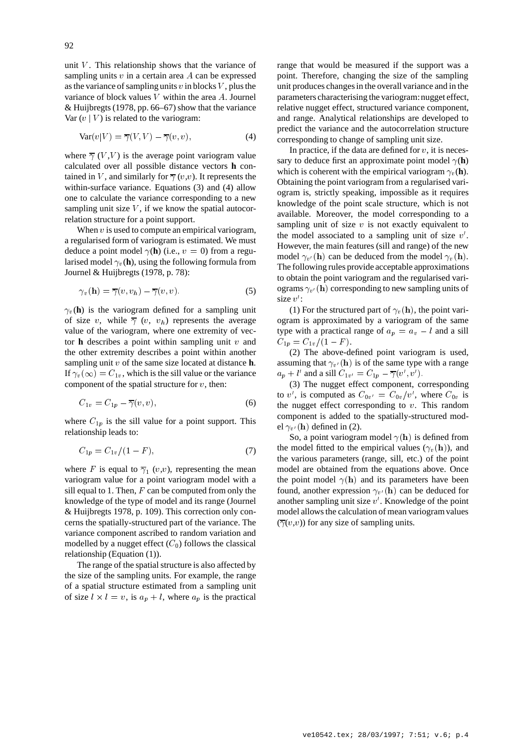unit  $V$ . This relationship shows that the variance of sampling units  $v$  in a certain area  $A$  can be expressed as the variance of sampling units  $v$  in blocks  $V$ , plus the variance of block values <sup>V</sup> within the area <sup>A</sup>. Journel & Huijbregts (1978, pp. 66–67) show that the variance Var  $(v | V)$  is related to the variogram:

$$
Var(v|V) = \overline{\gamma}(V, V) - \overline{\gamma}(v, v),
$$
\n(4)

where  $\overline{\gamma}(V, V)$  is the average point variogram value calculated over all possible distance vectors **h** contained in V, and similarly for  $\overline{\gamma}(v,v)$ . It represents the within-surface variance. Equations (3) and (4) allow one to calculate the variance corresponding to a new sampling unit size  $V$ , if we know the spatial autocorrelation structure for a point support.

When  $v$  is used to compute an empirical variogram, a regularised form of variogram is estimated. We must deduce a point model  $\gamma(\mathbf{h})$  (i.e.,  $v = 0$ ) from a regularised model  $\gamma$ <sub>v</sub>(**h**), using the following formula from Journel & Huijbregts (1978, p. 78):

$$
\gamma_v(\mathbf{h}) = \overline{\gamma}(v, v_h) - \overline{\gamma}(v, v). \tag{5}
$$

 $\gamma_v(\mathbf{h})$  is the variogram defined for a sampling unit of size v, while  $\overline{\gamma}$  (v, v<sub>h</sub>) represents the average value of the variogram, where one extremity of vector **h** describes a point within sampling unit  $v$  and the other extremity describes a point within another sampling unit v of the same size located at distance **h**. If  $\gamma_v(\infty) = C_{1v}$ , which is the sill value or the variance component of the spatial structure for  $v$ , then:

$$
C_{1v} = C_{1p} - \overline{\gamma}(v, v),\tag{6}
$$

where  $C_{1p}$  is the sill value for a point support. This relationship leads to:

$$
C_{1p} = C_{1v}/(1 - F),\tag{7}
$$

where F is equal to  $\overline{\gamma}_1$  (*v*,*v*), representing the mean variogram value for a point variogram model with a sill equal to 1. Then,  $F$  can be computed from only the knowledge of the type of model and its range (Journel & Huijbregts 1978, p. 109). This correction only concerns the spatially-structured part of the variance. The variance component ascribed to random variation and modelled by a nugget effect  $(C_0)$  follows the classical relationship (Equation (1)).

The range of the spatial structure is also affected by the size of the sampling units. For example, the range of a spatial structure estimated from a sampling unit of size  $l \times l = v$ , is  $a_p + l$ , where  $a_p$  is the practical

range that would be measured if the support was a point. Therefore, changing the size of the sampling unit produces changes in the overall variance and in the parameters characterising the variogram: nugget effect, relative nugget effect, structured variance component, and range. Analytical relationships are developed to predict the variance and the autocorrelation structure corresponding to change of sampling unit size.

In practice, if the data are defined for  $v$ , it is necessary to deduce first an approximate point model  $\gamma(\mathbf{h})$ which is coherent with the empirical variogram  $\gamma$ <sub>v</sub>(**h**). Obtaining the point variogram from a regularised variogram is, strictly speaking, impossible as it requires knowledge of the point scale structure, which is not available. Moreover, the model corresponding to a sampling unit of size  $v$  is not exactly equivalent to the model associated to a sampling unit of size  $v'$ . However, the main features (sill and range) of the new model  $\gamma_{v'}(\mathbf{h})$  can be deduced from the model  $\gamma_{v}(\mathbf{h})$ . The following rules provide acceptable approximations to obtain the point variogram and the regularised variograms  $\gamma_{v'}$  (h) corresponding to new sampling units of size  $v'$ :

(1) For the structured part of  $\gamma_v(\mathbf{h})$ , the point variogram is approximated by a variogram of the same type with a practical range of  $a_p = a_v - l$  and a sill  $C_{1p} = C_{1v}/(1 - F)$ .

(2) The above-defined point variogram is used, assuming that  $\gamma_{v'}(\mathbf{h})$  is of the same type with a range  $a_p + l'$  and a sill  $C_{1v'} = C_{1p} - \overline{\gamma}(v', v').$ 

(3) The nugget effect component, corresponding to v', is computed as  $C_{0v'} = C_{0v}/v'$ , where  $C_{0v}$  is the nugget effect corresponding to  $v$ . This random component is added to the spatially-structured model  $\gamma_{v'}$  (h) defined in (2).

So, a point variogram model  $\gamma(h)$  is defined from the model fitted to the empirical values  $(\gamma_v(\mathbf{h}))$ , and the various parameters (range, sill, etc.) of the point model are obtained from the equations above. Once the point model  $\gamma(h)$  and its parameters have been found, another expression  $\gamma_{v'}(\mathbf{h})$  can be deduced for another sampling unit size  $v'$ . Knowledge of the point model allows the calculation of mean variogram values  $(\overline{\gamma}(v,v))$  for any size of sampling units.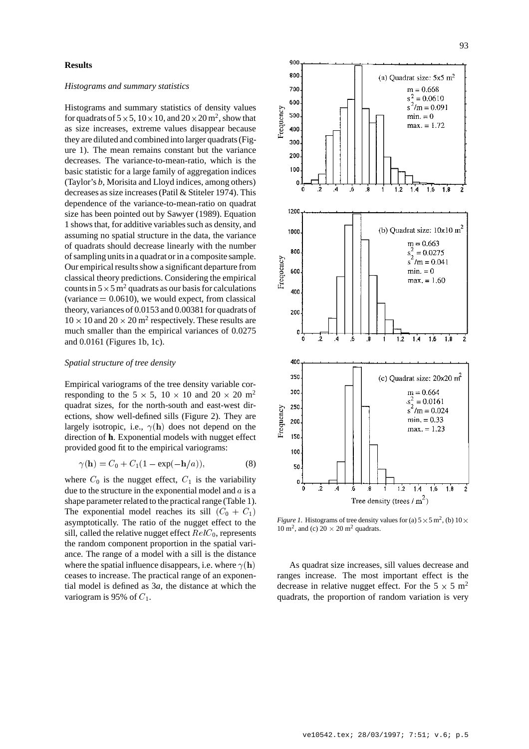### **Results**

#### *Histograms and summary statistics*

Histograms and summary statistics of density values for quadrats of  $5 \times 5$ ,  $10 \times 10$ , and  $20 \times 20$  m<sup>2</sup>, show that as size increases, extreme values disappear because they are diluted and combined into larger quadrats (Figure 1). The mean remains constant but the variance decreases. The variance-to-mean-ratio, which is the basic statistic for a large family of aggregation indices (Taylor's *b*, Morisita and Lloyd indices, among others) decreases as size increases (Patil & Stiteler 1974). This dependence of the variance-to-mean-ratio on quadrat size has been pointed out by Sawyer (1989). Equation 1 shows that, for additive variables such as density, and assuming no spatial structure in the data, the variance of quadrats should decrease linearly with the number of sampling units in a quadrat or in a composite sample. Our empirical results show a significant departure from classical theory predictions. Considering the empirical counts in  $5 \times 5$  m<sup>2</sup> quadrats as our basis for calculations (variance  $= 0.0610$ ), we would expect, from classical theory, variances of 0.0153 and 0.00381 for quadrats of  $10 \times 10$  and  $20 \times 20$  m<sup>2</sup> respectively. These results are much smaller than the empirical variances of 0.0275 and 0.0161 (Figures 1b, 1c).

### *Spatial structure of tree density*

Empirical variograms of the tree density variable corresponding to the  $5 \times 5$ ,  $10 \times 10$  and  $20 \times 20$  m<sup>2</sup> quadrat sizes, for the north-south and east-west directions, show well-defined sills (Figure 2). They are largely isotropic, i.e.,  $\gamma(h)$  does not depend on the direction of **h**. Exponential models with nugget effect provided good fit to the empirical variograms:

$$
\gamma(\mathbf{h}) = C_0 + C_1(1 - \exp(-\mathbf{h}/a)),\tag{8}
$$

where  $C_0$  is the nugget effect,  $C_1$  is the variability due to the structure in the exponential model and  $\alpha$  is a shape parameter related to the practical range (Table 1). The exponential model reaches its sill  $(C_0 + C_1)$ asymptotically. The ratio of the nugget effect to the sill, called the relative nugget effect  $RelC_0$ , represents the random component proportion in the spatial variance. The range of a model with a sill is the distance where the spatial influence disappears, i.e. where  $\gamma(\mathbf{h})$ ceases to increase. The practical range of an exponential model is defined as 3*a*, the distance at which the variogram is 95% of  $C_1$ .



*Figure 1*. Histograms of tree density values for (a)  $5 \times 5$  m<sup>2</sup>, (b)  $10 \times$ 10 m<sup>2</sup>, and (c)  $20 \times 20$  m<sup>2</sup> quadrats.

As quadrat size increases, sill values decrease and ranges increase. The most important effect is the decrease in relative nugget effect. For the  $5 \times 5$  m<sup>2</sup> quadrats, the proportion of random variation is very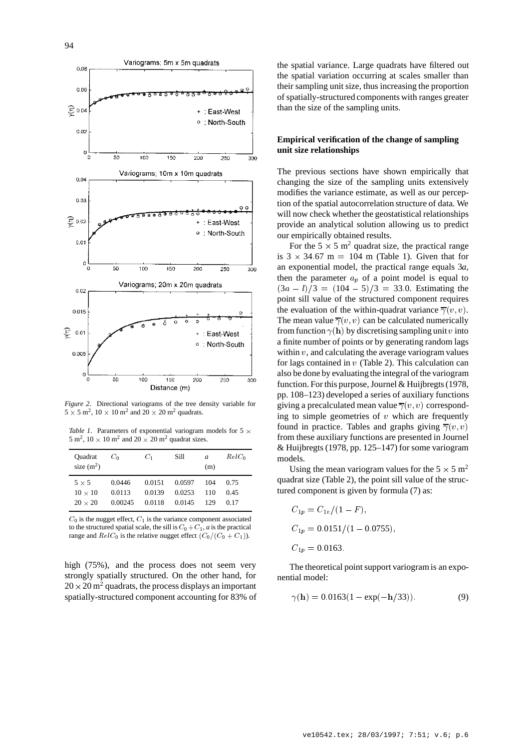

*Figure 2*. Directional variograms of the tree density variable for  $5 \times 5$  m<sup>2</sup>,  $10 \times 10$  m<sup>2</sup> and  $20 \times 20$  m<sup>2</sup> quadrats.

*Table 1*. Parameters of exponential variogram models for 5  $\times$  $5 \text{ m}^2$ ,  $10 \times 10 \text{ m}^2$  and  $20 \times 20 \text{ m}^2$  quadrat sizes.

| <b>Ouadrat</b><br>size $(m^2)$ | $C_0$   | $C_1$  | Sill   | a<br>(m) | $RelC_0$ |
|--------------------------------|---------|--------|--------|----------|----------|
| $5 \times 5$                   | 0.0446  | 0.0151 | 0.0597 | 104      | 0.75     |
| $10 \times 10$                 | 0.0113  | 0.0139 | 0.0253 | 110      | 0.45     |
| $20 \times 20$                 | 0.00245 | 0.0118 | 0.0145 | 129      | 0.17     |

 $C_0$  is the nugget effect,  $C_1$  is the variance component associated to the structured spatial scale, the sill is  $C_0 + C_1$ , *a* is the practical range and  $RelC_0$  is the relative nugget effect  $(C_0/(C_0 + C_1))$ .

high (75%), and the process does not seem very strongly spatially structured. On the other hand, for  $20 \times 20$  m<sup>2</sup> quadrats, the process displays an important spatially-structured component accounting for 83% of the spatial variance. Large quadrats have filtered out the spatial variation occurring at scales smaller than their sampling unit size, thus increasing the proportion of spatially-structured components with ranges greater than the size of the sampling units.

# **Empirical verification of the change of sampling unit size relationships**

The previous sections have shown empirically that changing the size of the sampling units extensively modifies the variance estimate, as well as our perception of the spatial autocorrelation structure of data. We will now check whether the geostatistical relationships provide an analytical solution allowing us to predict our empirically obtained results.

 from these auxiliary functions are presented in Journel For the 5  $\times$  5 m<sup>2</sup> quadrat size, the practical range is  $3 \times 34.67$  m = 104 m (Table 1). Given that for an exponential model, the practical range equals 3*a*, then the parameter  $a_p$  of a point model is equal to  $(3a - 1)/3 = (104 - 5)/3 = 33.0$ . Estimating the point sill value of the structured component requires the evaluation of the within-quadrat variance  $\overline{\gamma}(v, v)$ . The mean value  $\overline{\gamma}(v, v)$  can be calculated numerically from function  $\gamma(\mathbf{h})$  by discretising sampling unit v into a finite number of points or by generating random lags within  $v$ , and calculating the average variogram values for lags contained in  $v$  (Table 2). This calculation can also be done by evaluating the integral of the variogram function. For this purpose, Journel & Huijbregts (1978, pp. 108–123) developed a series of auxiliary functions giving a precalculated mean value  $\overline{\gamma}(v, v)$  corresponding to simple geometries of  $v$  which are frequently found in practice. Tables and graphs giving  $\overline{\gamma}(v, v)$ & Huijbregts (1978, pp. 125–147) for some variogram models.

Using the mean variogram values for the  $5 \times 5$  m<sup>2</sup> quadrat size (Table 2), the point sill value of the structured component is given by formula (7) as:

$$
C_{1p} = C_{1v}/(1 - F),
$$
  
\n
$$
C_{1p} = 0.0151/(1 - 0.0755),
$$
  
\n
$$
C_{1p} = 0.0163.
$$

The theoretical point support variogram is an exponential model:

$$
\gamma(\mathbf{h}) = 0.0163(1 - \exp(-\mathbf{h}/33)).\tag{9}
$$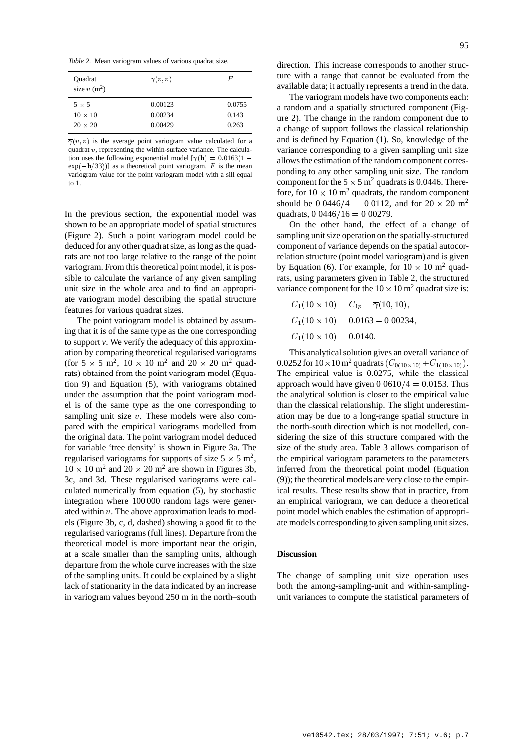*Table 2*. Mean variogram values of various quadrat size.

| <b>Ouadrat</b><br>size $v(m^2)$ | $\overline{\gamma}(v,v)$ | F      |
|---------------------------------|--------------------------|--------|
| $5 \times 5$                    | 0.00123                  | 0.0755 |
| $10 \times 10$                  | 0.00234                  | 0.143  |
| $20 \times 20$                  | 0.00429                  | 0.263  |

 $\overline{\gamma}(v, v)$  is the average point variogram value calculated for a quadrat  $v$ , representing the within-surface variance. The calculation uses the following exponential model  $\lceil \gamma(\mathbf{h}) \rceil = 0.0163(1 \exp(-\mathbf{h}/33)$ ] as a theoretical point variogram. F is the mean variogram value for the point variogram model with a sill equal to 1.

In the previous section, the exponential model was shown to be an appropriate model of spatial structures (Figure 2). Such a point variogram model could be deduced for any other quadrat size, as long as the quadrats are not too large relative to the range of the point variogram. From this theoretical point model, it is possible to calculate the variance of any given sampling unit size in the whole area and to find an appropriate variogram model describing the spatial structure features for various quadrat sizes.

The point variogram model is obtained by assuming that it is of the same type as the one corresponding to support *v*. We verify the adequacy of this approximation by comparing theoretical regularised variograms (for  $5 \times 5$  m<sup>2</sup>,  $10 \times 10$  m<sup>2</sup> and  $20 \times 20$  m<sup>2</sup> quadrats) obtained from the point variogram model (Equation 9) and Equation (5), with variograms obtained under the assumption that the point variogram model is of the same type as the one corresponding to sampling unit size v. These models were also compared with the empirical variograms modelled from the original data. The point variogram model deduced for variable 'tree density' is shown in Figure 3a. The regularised variograms for supports of size  $5 \times 5$  m<sup>2</sup>, the  $10 \times 10$  m<sup>2</sup> and  $20 \times 20$  m<sup>2</sup> are shown in Figures 3b, 3c, and 3d. These regularised variograms were calculated numerically from equation (5), by stochastic integration where 100 000 random lags were generated within v. The above approximation leads to models (Figure 3b, c, d, dashed) showing a good fit to the regularised variograms (full lines). Departure from the theoretical model is more important near the origin, at a scale smaller than the sampling units, although departure from the whole curve increases with the size of the sampling units. It could be explained by a slight lack of stationarity in the data indicated by an increase in variogram values beyond 250 m in the north–south

direction. This increase corresponds to another structure with a range that cannot be evaluated from the available data; it actually represents a trend in the data.

The variogram models have two components each: a random and a spatially structured component (Figure 2). The change in the random component due to a change of support follows the classical relationship and is defined by Equation (1). So, knowledge of the variance corresponding to a given sampling unit size allows the estimation of the random component corresponding to any other sampling unit size. The random component for the  $5 \times 5$  m<sup>2</sup> quadrats is 0.0446. Therefore, for  $10 \times 10$  m<sup>2</sup> quadrats, the random component should be  $0.0446/4 = 0.0112$ , and for  $20 \times 20$  m<sup>2</sup> quadrats,  $0.0446/16 = 0.00279$ .

On the other hand, the effect of a change of sampling unit size operation on the spatially-structured component of variance depends on the spatial autocorrelation structure (point model variogram) and is given by Equation (6). For example, for  $10 \times 10$  m<sup>2</sup> quadrats, using parameters given in Table 2, the structured variance component for the  $10 \times 10$  m<sup>2</sup> quadrat size is:

 $C_1(10 \times 10) = C_{1p} - \overline{\gamma}(10, 10),$  $C_1(10 \times 10) = 0.0163 - 0.00234,$ 

 $C_1(10 \times 10) = 0.0140.$ 

This analytical solution gives an overall variance of 0.0252 for  $10 \times 10$  m<sup>2</sup> quadrats  $(C_{0(10 \times 10)} + C_{1(10 \times 10)})$ . The empirical value is 0.0275, while the classical approach would have given  $0.0610/4 = 0.0153$ . Thus the analytical solution is closer to the empirical value than the classical relationship. The slight underestimation may be due to a long-range spatial structure in the north-south direction which is not modelled, considering the size of this structure compared with the size of the study area. Table 3 allows comparison of the empirical variogram parameters to the parameters inferred from the theoretical point model (Equation (9)); the theoretical models are very close to the empirical results. These results show that in practice, from an empirical variogram, we can deduce a theoretical point model which enables the estimation of appropriate models corresponding to given sampling unit sizes.

# **Discussion**

The change of sampling unit size operation uses both the among-sampling-unit and within-samplingunit variances to compute the statistical parameters of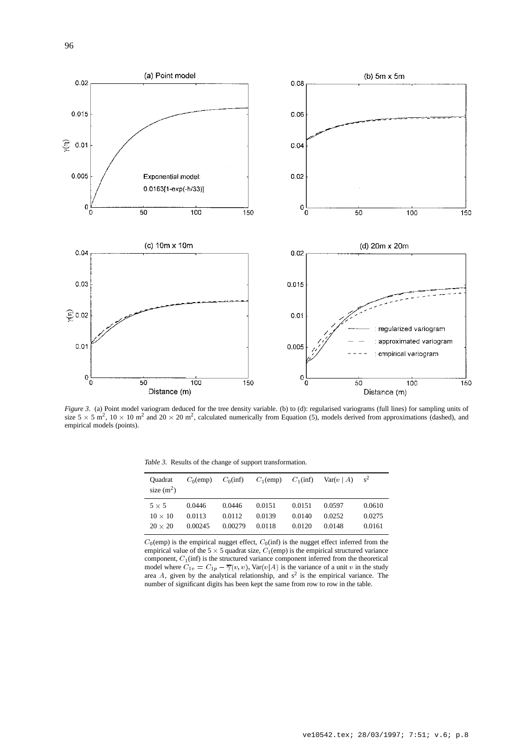



*Figure 3.* (a) Point model variogram deduced for the tree density variable. (b) to (d): regularised variograms (full lines) for sampling units of size  $5 \times 5$  m<sup>2</sup>,  $10 \times 10$  m<sup>2</sup> and  $20 \times 20$  m<sup>2</sup>, calculated numerically from Equation (5), models derived from approximations (dashed), and empirical models (points).

*Table 3*. Results of the change of support transformation.

| <b>Ouadrat</b><br>size $(m^2)$ | $C_0$ (emp) | $C_0$ (inf) | $C_1$ (emp) | $C_1$ (inf) | Var(v   A) | $s^2$  |
|--------------------------------|-------------|-------------|-------------|-------------|------------|--------|
| $5 \times 5$                   | 0.0446      | 0.0446      | 0.0151      | 0.0151      | 0.0597     | 0.0610 |
| $10 \times 10$                 | 0.0113      | 0.0112      | 0.0139      | 0.0140      | 0.0252     | 0.0275 |
| $20 \times 20$                 | 0.00245     | 0.00279     | 0.0118      | 0.0120      | 0.0148     | 0.0161 |

 $C_0$ (emp) is the empirical nugget effect,  $C_0$ (inf) is the nugget effect inferred from the empirical value of the  $5 \times 5$  quadrat size,  $C_1$ (emp) is the empirical structured variance component,  $C_1$ (inf) is the structured variance component inferred from the theoretical model where  $C_{1v} = C_{1p} - \overline{\gamma}(v, v)$ , Var $(v|A)$  is the variance of a unit v in the study area A, given by the analytical relationship, and  $s<sup>2</sup>$  is the empirical variance. The number of significant digits has been kept the same from row to row in the table.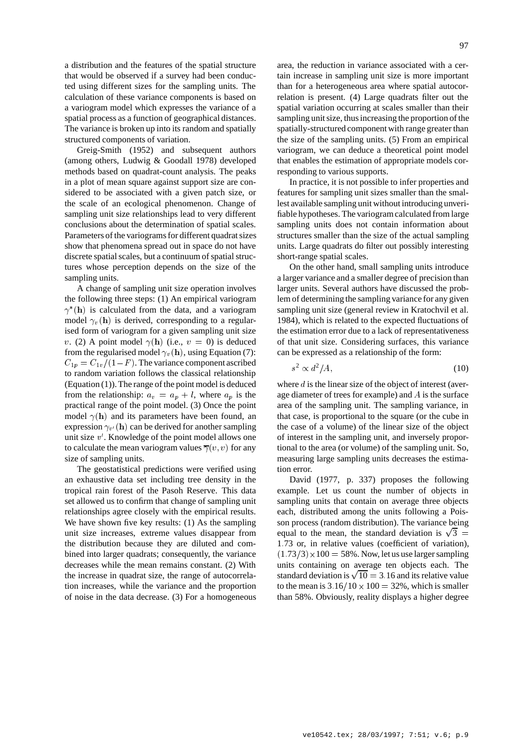a distribution and the features of the spatial structure that would be observed if a survey had been conducted using different sizes for the sampling units. The calculation of these variance components is based on a variogram model which expresses the variance of a spatial process as a function of geographical distances. The variance is broken up into its random and spatially structured components of variation.

Greig-Smith (1952) and subsequent authors (among others, Ludwig & Goodall 1978) developed methods based on quadrat-count analysis. The peaks in a plot of mean square against support size are considered to be associated with a given patch size, or the scale of an ecological phenomenon. Change of sampling unit size relationships lead to very different conclusions about the determination of spatial scales. Parameters of the variograms for different quadrat sizes show that phenomena spread out in space do not have discrete spatial scales, but a continuum of spatial structures whose perception depends on the size of the sampling units.

A change of sampling unit size operation involves the following three steps: (1) An empirical variogram  $\gamma^*(\mathbf{h})$  is calculated from the data, and a variogram model  $\gamma$ <sub>v</sub>(h) is derived, corresponding to a regularised form of variogram for a given sampling unit size v. (2) A point model  $\gamma(h)$  (i.e.,  $v = 0$ ) is deduced from the regularised model  $\gamma_v(\mathbf{h})$ , using Equation (7):  $C_{1p} = C_{1v}/(1-F)$ . The variance component ascribed to random variation follows the classical relationship (Equation (1)). The range of the point model is deduced from the relationship:  $a_v = a_p + l$ , where  $a_p$  is the practical range of the point model. (3) Once the point model  $\gamma(h)$  and its parameters have been found, an expression  $\gamma_{v'}$  (h) can be derived for another sampling unit size  $v'$ . Knowledge of the point model allows one to calculate the mean variogram values  $\overline{\gamma}(v, v)$  for any size of sampling units.

The geostatistical predictions were verified using an exhaustive data set including tree density in the tropical rain forest of the Pasoh Reserve. This data set allowed us to confirm that change of sampling unit relationships agree closely with the empirical results. We have shown five key results: (1) As the sampling unit size increases, extreme values disappear from the distribution because they are diluted and combined into larger quadrats; consequently, the variance decreases while the mean remains constant. (2) With the increase in quadrat size, the range of autocorrelation increases, while the variance and the proportion of noise in the data decrease. (3) For a homogeneous area, the reduction in variance associated with a certain increase in sampling unit size is more important than for a heterogeneous area where spatial autocorrelation is present. (4) Large quadrats filter out the spatial variation occurring at scales smaller than their sampling unit size, thus increasing the proportion of the spatially-structured component with range greater than the size of the sampling units. (5) From an empirical variogram, we can deduce a theoretical point model that enables the estimation of appropriate models corresponding to various supports.

In practice, it is not possible to infer properties and features for sampling unit sizes smaller than the smallest available sampling unit without introducing unverifiable hypotheses. The variogram calculated from large sampling units does not contain information about structures smaller than the size of the actual sampling units. Large quadrats do filter out possibly interesting short-range spatial scales.

On the other hand, small sampling units introduce a larger variance and a smaller degree of precision than larger units. Several authors have discussed the problem of determining the sampling variance for any given sampling unit size (general review in Kratochvil et al. 1984), which is related to the expected fluctuations of the estimation error due to a lack of representativeness of that unit size. Considering surfaces, this variance can be expressed as a relationship of the form:

$$
s^2 \propto d^2/A,\tag{10}
$$

where  $d$  is the linear size of the object of interest (average diameter of trees for example) and A is the surface area of the sampling unit. The sampling variance, in that case, is proportional to the square (or the cube in the case of a volume) of the linear size of the object of interest in the sampling unit, and inversely proportional to the area (or volume) of the sampling unit. So, measuring large sampling units decreases the estimation error.

David (1977, p. 337) proposes the following example. Let us count the number of objects in sampling units that contain on average three objects each, distributed among the units following a Poisson process (random distribution). The variance being equal to the mean, the standard deviation is  $\sqrt{3}$  = 1:73 or, in relative values (coefficient of variation),  $(1.73/3) \times 100 = 58\%$ . Now, let us use larger sampling units containing on average ten objects each. The standard deviation is  $\sqrt{10} = 3.16$  and its relative value to the mean is  $3.16/10 \times 100 = 32\%$ , which is smaller than 58%. Obviously, reality displays a higher degree